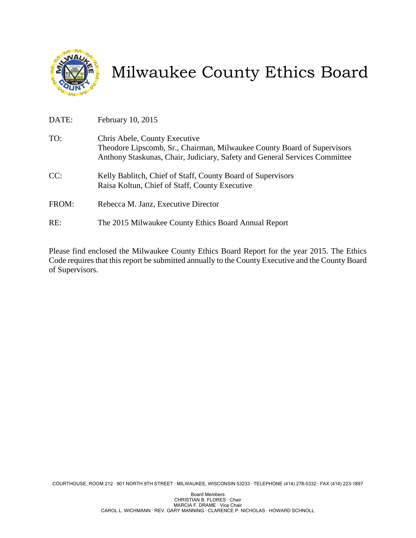

# Milwaukee County Ethics Board

| DATE: | February 10, 2015                                                                                                                                                                      |
|-------|----------------------------------------------------------------------------------------------------------------------------------------------------------------------------------------|
| TO:   | Chris Abele, County Executive<br>Theodore Lipscomb, Sr., Chairman, Milwaukee County Board of Supervisors<br>Anthony Staskunas, Chair, Judiciary, Safety and General Services Committee |
| CC:   | Kelly Bablitch, Chief of Staff, County Board of Supervisors<br>Raisa Koltun, Chief of Staff, County Executive                                                                          |
| FROM: | Rebecca M. Janz, Executive Director                                                                                                                                                    |
| RE:   | The 2015 Milwaukee County Ethics Board Annual Report                                                                                                                                   |

Please find enclosed the Milwaukee County Ethics Board Report for the year 2015. The Ethics Code requires that this report be submitted annually to the County Executive and the County Board of Supervisors.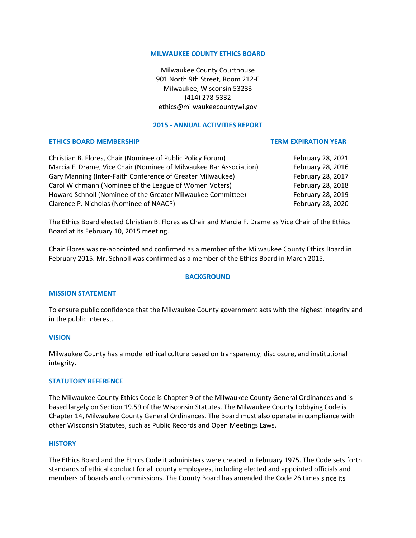# **MILWAUKEE COUNTY ETHICS BOARD**

Milwaukee County Courthouse 901 North 9th Street, Room 212‐E Milwaukee, Wisconsin 53233 (414) 278‐5332 ethics@milwaukeecountywi.gov

# **2015 ‐ ANNUAL ACTIVITIES REPORT**

#### **ETHICS BOARD MEMBERSHIP TERM EXPIRATION YEAR**

Christian B. Flores, Chair (Nominee of Public Policy Forum) February 28, 2021 Marcia F. Drame, Vice Chair (Nominee of Milwaukee Bar Association) February 28, 2016 Gary Manning (Inter‐Faith Conference of Greater Milwaukee) February 28, 2017 Carol Wichmann (Nominee of the League of Women Voters) February 28, 2018 Howard Schnoll (Nominee of the Greater Milwaukee Committee) February 28, 2019 Clarence P. Nicholas (Nominee of NAACP) February 28, 2020

The Ethics Board elected Christian B. Flores as Chair and Marcia F. Drame as Vice Chair of the Ethics Board at its February 10, 2015 meeting.

Chair Flores was re‐appointed and confirmed as a member of the Milwaukee County Ethics Board in February 2015. Mr. Schnoll was confirmed as a member of the Ethics Board in March 2015.

# **BACKGROUND**

# **MISSION STATEMENT**

To ensure public confidence that the Milwaukee County government acts with the highest integrity and in the public interest.

# **VISION**

Milwaukee County has a model ethical culture based on transparency, disclosure, and institutional integrity.

#### **STATUTORY REFERENCE**

The Milwaukee County Ethics Code is Chapter 9 of the Milwaukee County General Ordinances and is based largely on Section 19.59 of the Wisconsin Statutes. The Milwaukee County Lobbying Code is Chapter 14, Milwaukee County General Ordinances. The Board must also operate in compliance with other Wisconsin Statutes, such as Public Records and Open Meetings Laws.

#### **HISTORY**

The Ethics Board and the Ethics Code it administers were created in February 1975. The Code sets forth standards of ethical conduct for all county employees, including elected and appointed officials and members of boards and commissions. The County Board has amended the Code 26 times since its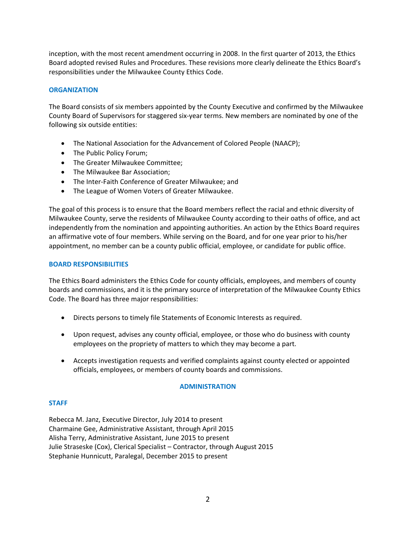inception, with the most recent amendment occurring in 2008. In the first quarter of 2013, the Ethics Board adopted revised Rules and Procedures. These revisions more clearly delineate the Ethics Board's responsibilities under the Milwaukee County Ethics Code.

# **ORGANIZATION**

The Board consists of six members appointed by the County Executive and confirmed by the Milwaukee County Board of Supervisors for staggered six‐year terms. New members are nominated by one of the following six outside entities:

- The National Association for the Advancement of Colored People (NAACP);
- The Public Policy Forum;
- The Greater Milwaukee Committee;
- The Milwaukee Bar Association;
- The Inter‐Faith Conference of Greater Milwaukee; and
- The League of Women Voters of Greater Milwaukee.

The goal of this process is to ensure that the Board members reflect the racial and ethnic diversity of Milwaukee County, serve the residents of Milwaukee County according to their oaths of office, and act independently from the nomination and appointing authorities. An action by the Ethics Board requires an affirmative vote of four members. While serving on the Board, and for one year prior to his/her appointment, no member can be a county public official, employee, or candidate for public office.

# **BOARD RESPONSIBILITIES**

The Ethics Board administers the Ethics Code for county officials, employees, and members of county boards and commissions, and it is the primary source of interpretation of the Milwaukee County Ethics Code. The Board has three major responsibilities:

- Directs persons to timely file Statements of Economic Interests as required.
- Upon request, advises any county official, employee, or those who do business with county employees on the propriety of matters to which they may become a part.
- Accepts investigation requests and verified complaints against county elected or appointed officials, employees, or members of county boards and commissions.

# **ADMINISTRATION**

# **STAFF**

Rebecca M. Janz, Executive Director, July 2014 to present Charmaine Gee, Administrative Assistant, through April 2015 Alisha Terry, Administrative Assistant, June 2015 to present Julie Straseske (Cox), Clerical Specialist – Contractor, through August 2015 Stephanie Hunnicutt, Paralegal, December 2015 to present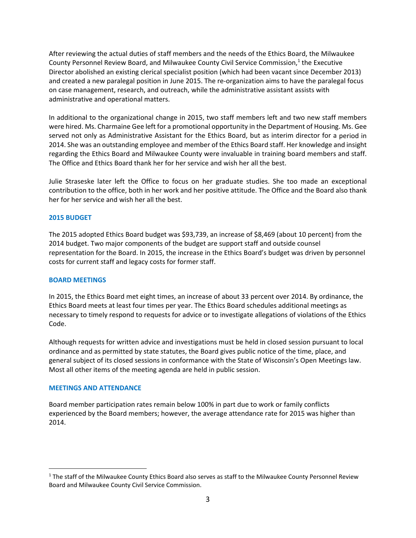After reviewing the actual duties of staff members and the needs of the Ethics Board, the Milwaukee County Personnel Review Board, and Milwaukee County Civil Service Commission,<sup>1</sup> the Executive Director abolished an existing clerical specialist position (which had been vacant since December 2013) and created a new paralegal position in June 2015. The re-organization aims to have the paralegal focus on case management, research, and outreach, while the administrative assistant assists with administrative and operational matters.

In additional to the organizational change in 2015, two staff members left and two new staff members were hired. Ms. Charmaine Gee left for a promotional opportunity in the Department of Housing. Ms. Gee served not only as Administrative Assistant for the Ethics Board, but as interim director for a period in 2014. She was an outstanding employee and member of the Ethics Board staff. Her knowledge and insight regarding the Ethics Board and Milwaukee County were invaluable in training board members and staff. The Office and Ethics Board thank her for her service and wish her all the best.

Julie Straseske later left the Office to focus on her graduate studies. She too made an exceptional contribution to the office, both in her work and her positive attitude. The Office and the Board also thank her for her service and wish her all the best.

# **2015 BUDGET**

The 2015 adopted Ethics Board budget was \$93,739, an increase of \$8,469 (about 10 percent) from the 2014 budget. Two major components of the budget are support staff and outside counsel representation for the Board. In 2015, the increase in the Ethics Board's budget was driven by personnel costs for current staff and legacy costs for former staff.

# **BOARD MEETINGS**

In 2015, the Ethics Board met eight times, an increase of about 33 percent over 2014. By ordinance, the Ethics Board meets at least four times per year. The Ethics Board schedules additional meetings as necessary to timely respond to requests for advice or to investigate allegations of violations of the Ethics Code.

Although requests for written advice and investigations must be held in closed session pursuant to local ordinance and as permitted by state statutes, the Board gives public notice of the time, place, and general subject of its closed sessions in conformance with the State of Wisconsin's Open Meetings law. Most all other items of the meeting agenda are held in public session.

# **MEETINGS AND ATTENDANCE**

 $\overline{a}$ 

Board member participation rates remain below 100% in part due to work or family conflicts experienced by the Board members; however, the average attendance rate for 2015 was higher than 2014.

<sup>&</sup>lt;sup>1</sup> The staff of the Milwaukee County Ethics Board also serves as staff to the Milwaukee County Personnel Review Board and Milwaukee County Civil Service Commission.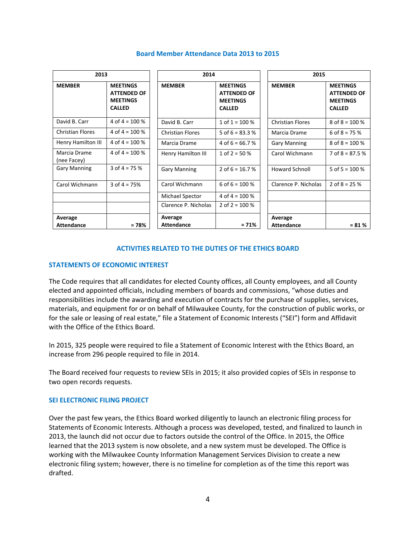| 2013                        |                                                                           | 2014                    |                                                                           | 2015                    |                                                                           |
|-----------------------------|---------------------------------------------------------------------------|-------------------------|---------------------------------------------------------------------------|-------------------------|---------------------------------------------------------------------------|
| <b>MEMBER</b>               | <b>MEETINGS</b><br><b>ATTENDED OF</b><br><b>MEETINGS</b><br><b>CALLED</b> | <b>MEMBER</b>           | <b>MEETINGS</b><br><b>ATTENDED OF</b><br><b>MEETINGS</b><br><b>CALLED</b> | <b>MEMBER</b>           | <b>MEETINGS</b><br><b>ATTENDED OF</b><br><b>MEETINGS</b><br><b>CALLED</b> |
| David B. Carr               | 4 of $4 = 100\%$                                                          | David B. Carr           | 1 of $1 = 100\%$                                                          | <b>Christian Flores</b> | 8 of $8 = 100 %$                                                          |
| <b>Christian Flores</b>     | 4 of 4 = $100\%$                                                          | <b>Christian Flores</b> | 5 of $6 = 83.3$ %                                                         | Marcia Drame            | 6 of $8 = 75%$                                                            |
| Henry Hamilton III          | 4 of $4 = 100\%$                                                          | Marcia Drame            | 4 of $6 = 66.7%$                                                          | <b>Gary Manning</b>     | 8 of $8 = 100 %$                                                          |
| Marcia Drame<br>(nee Facey) | 4 of 4 = $100\%$                                                          | Henry Hamilton III      | 1 of 2 = $50\%$                                                           | Carol Wichmann          | 7 of $8 = 87.5%$                                                          |
| <b>Gary Manning</b>         | 3 of $4 = 75%$                                                            | <b>Gary Manning</b>     | 2 of $6 = 16.7$ %                                                         | <b>Howard Schnoll</b>   | 5 of $5 = 100 %$                                                          |
| Carol Wichmann              | 3 of $4 = 75%$                                                            | Carol Wichmann          | 6 of $6 = 100\%$                                                          | Clarence P. Nicholas    | 2 of $8 = 25%$                                                            |
|                             |                                                                           | Michael Spector         | 4 of $4 = 100 %$                                                          |                         |                                                                           |
|                             |                                                                           | Clarence P. Nicholas    | 2 of $2 = 100 %$                                                          |                         |                                                                           |
| Average                     |                                                                           | Average                 |                                                                           | Average                 |                                                                           |
| <b>Attendance</b>           | $= 78%$                                                                   | <b>Attendance</b>       | $= 71%$                                                                   | <b>Attendance</b>       | $= 81 \%$                                                                 |

#### **Board Member Attendance Data 2013 to 2015**

# **ACTIVITIES RELATED TO THE DUTIES OF THE ETHICS BOARD**

# **STATEMENTS OF ECONOMIC INTEREST**

The Code requires that all candidates for elected County offices, all County employees, and all County elected and appointed officials, including members of boards and commissions, "whose duties and responsibilities include the awarding and execution of contracts for the purchase of supplies, services, materials, and equipment for or on behalf of Milwaukee County, for the construction of public works, or for the sale or leasing of real estate," file a Statement of Economic Interests ("SEI") form and Affidavit with the Office of the Ethics Board.

In 2015, 325 people were required to file a Statement of Economic Interest with the Ethics Board, an increase from 296 people required to file in 2014.

The Board received four requests to review SEIs in 2015; it also provided copies of SEIs in response to two open records requests.

#### **SEI ELECTRONIC FILING PROJECT**

Over the past few years, the Ethics Board worked diligently to launch an electronic filing process for Statements of Economic Interests. Although a process was developed, tested, and finalized to launch in 2013, the launch did not occur due to factors outside the control of the Office. In 2015, the Office learned that the 2013 system is now obsolete, and a new system must be developed. The Office is working with the Milwaukee County Information Management Services Division to create a new electronic filing system; however, there is no timeline for completion as of the time this report was drafted.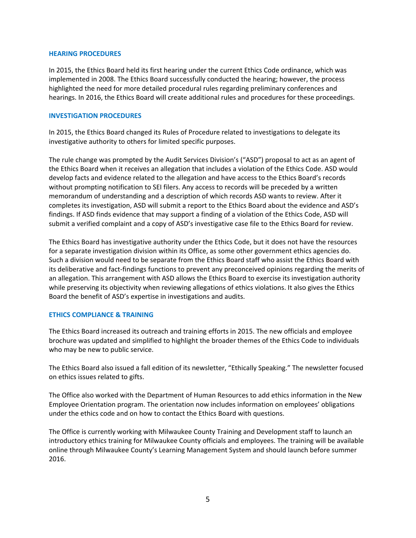# **HEARING PROCEDURES**

In 2015, the Ethics Board held its first hearing under the current Ethics Code ordinance, which was implemented in 2008. The Ethics Board successfully conducted the hearing; however, the process highlighted the need for more detailed procedural rules regarding preliminary conferences and hearings. In 2016, the Ethics Board will create additional rules and procedures for these proceedings.

# **INVESTIGATION PROCEDURES**

In 2015, the Ethics Board changed its Rules of Procedure related to investigations to delegate its investigative authority to others for limited specific purposes.

The rule change was prompted by the Audit Services Division's ("ASD") proposal to act as an agent of the Ethics Board when it receives an allegation that includes a violation of the Ethics Code. ASD would develop facts and evidence related to the allegation and have access to the Ethics Board's records without prompting notification to SEI filers. Any access to records will be preceded by a written memorandum of understanding and a description of which records ASD wants to review. After it completes its investigation, ASD will submit a report to the Ethics Board about the evidence and ASD's findings. If ASD finds evidence that may support a finding of a violation of the Ethics Code, ASD will submit a verified complaint and a copy of ASD's investigative case file to the Ethics Board for review.

The Ethics Board has investigative authority under the Ethics Code, but it does not have the resources for a separate investigation division within its Office, as some other government ethics agencies do. Such a division would need to be separate from the Ethics Board staff who assist the Ethics Board with its deliberative and fact-findings functions to prevent any preconceived opinions regarding the merits of an allegation. This arrangement with ASD allows the Ethics Board to exercise its investigation authority while preserving its objectivity when reviewing allegations of ethics violations. It also gives the Ethics Board the benefit of ASD's expertise in investigations and audits.

# **ETHICS COMPLIANCE & TRAINING**

The Ethics Board increased its outreach and training efforts in 2015. The new officials and employee brochure was updated and simplified to highlight the broader themes of the Ethics Code to individuals who may be new to public service.

The Ethics Board also issued a fall edition of its newsletter, "Ethically Speaking." The newsletter focused on ethics issues related to gifts.

The Office also worked with the Department of Human Resources to add ethics information in the New Employee Orientation program. The orientation now includes information on employees' obligations under the ethics code and on how to contact the Ethics Board with questions.

The Office is currently working with Milwaukee County Training and Development staff to launch an introductory ethics training for Milwaukee County officials and employees. The training will be available online through Milwaukee County's Learning Management System and should launch before summer 2016.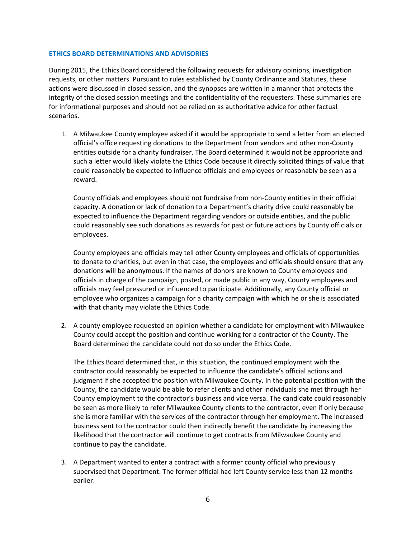# **ETHICS BOARD DETERMINATIONS AND ADVISORIES**

During 2015, the Ethics Board considered the following requests for advisory opinions, investigation requests, or other matters. Pursuant to rules established by County Ordinance and Statutes, these actions were discussed in closed session, and the synopses are written in a manner that protects the integrity of the closed session meetings and the confidentiality of the requesters. These summaries are for informational purposes and should not be relied on as authoritative advice for other factual scenarios.

1. A Milwaukee County employee asked if it would be appropriate to send a letter from an elected official's office requesting donations to the Department from vendors and other non‐County entities outside for a charity fundraiser. The Board determined it would not be appropriate and such a letter would likely violate the Ethics Code because it directly solicited things of value that could reasonably be expected to influence officials and employees or reasonably be seen as a reward.

County officials and employees should not fundraise from non‐County entities in their official capacity. A donation or lack of donation to a Department's charity drive could reasonably be expected to influence the Department regarding vendors or outside entities, and the public could reasonably see such donations as rewards for past or future actions by County officials or employees.

County employees and officials may tell other County employees and officials of opportunities to donate to charities, but even in that case, the employees and officials should ensure that any donations will be anonymous. If the names of donors are known to County employees and officials in charge of the campaign, posted, or made public in any way, County employees and officials may feel pressured or influenced to participate. Additionally, any County official or employee who organizes a campaign for a charity campaign with which he or she is associated with that charity may violate the Ethics Code.

2. A county employee requested an opinion whether a candidate for employment with Milwaukee County could accept the position and continue working for a contractor of the County. The Board determined the candidate could not do so under the Ethics Code.

The Ethics Board determined that, in this situation, the continued employment with the contractor could reasonably be expected to influence the candidate's official actions and judgment if she accepted the position with Milwaukee County. In the potential position with the County, the candidate would be able to refer clients and other individuals she met through her County employment to the contractor's business and vice versa. The candidate could reasonably be seen as more likely to refer Milwaukee County clients to the contractor, even if only because she is more familiar with the services of the contractor through her employment. The increased business sent to the contractor could then indirectly benefit the candidate by increasing the likelihood that the contractor will continue to get contracts from Milwaukee County and continue to pay the candidate.

3. A Department wanted to enter a contract with a former county official who previously supervised that Department. The former official had left County service less than 12 months earlier.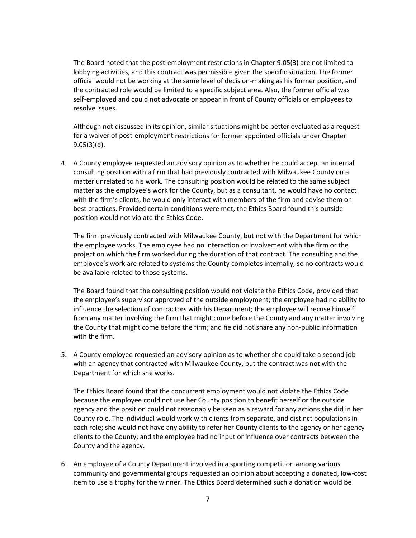The Board noted that the post-employment restrictions in Chapter 9.05(3) are not limited to lobbying activities, and this contract was permissible given the specific situation. The former official would not be working at the same level of decision‐making as his former position, and the contracted role would be limited to a specific subject area. Also, the former official was self‐employed and could not advocate or appear in front of County officials or employees to resolve issues.

Although not discussed in its opinion, similar situations might be better evaluated as a request for a waiver of post-employment restrictions for former appointed officials under Chapter 9.05(3)(d).

4. A County employee requested an advisory opinion as to whether he could accept an internal consulting position with a firm that had previously contracted with Milwaukee County on a matter unrelated to his work. The consulting position would be related to the same subject matter as the employee's work for the County, but as a consultant, he would have no contact with the firm's clients; he would only interact with members of the firm and advise them on best practices. Provided certain conditions were met, the Ethics Board found this outside position would not violate the Ethics Code.

The firm previously contracted with Milwaukee County, but not with the Department for which the employee works. The employee had no interaction or involvement with the firm or the project on which the firm worked during the duration of that contract. The consulting and the employee's work are related to systems the County completes internally, so no contracts would be available related to those systems.

The Board found that the consulting position would not violate the Ethics Code, provided that the employee's supervisor approved of the outside employment; the employee had no ability to influence the selection of contractors with his Department; the employee will recuse himself from any matter involving the firm that might come before the County and any matter involving the County that might come before the firm; and he did not share any non‐public information with the firm.

5. A County employee requested an advisory opinion as to whether she could take a second job with an agency that contracted with Milwaukee County, but the contract was not with the Department for which she works.

The Ethics Board found that the concurrent employment would not violate the Ethics Code because the employee could not use her County position to benefit herself or the outside agency and the position could not reasonably be seen as a reward for any actions she did in her County role. The individual would work with clients from separate, and distinct populations in each role; she would not have any ability to refer her County clients to the agency or her agency clients to the County; and the employee had no input or influence over contracts between the County and the agency.

6. An employee of a County Department involved in a sporting competition among various community and governmental groups requested an opinion about accepting a donated, low‐cost item to use a trophy for the winner. The Ethics Board determined such a donation would be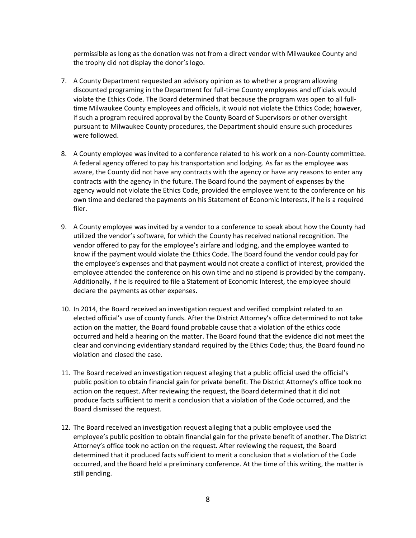permissible as long as the donation was not from a direct vendor with Milwaukee County and the trophy did not display the donor's logo.

- 7. A County Department requested an advisory opinion as to whether a program allowing discounted programing in the Department for full‐time County employees and officials would violate the Ethics Code. The Board determined that because the program was open to all full‐ time Milwaukee County employees and officials, it would not violate the Ethics Code; however, if such a program required approval by the County Board of Supervisors or other oversight pursuant to Milwaukee County procedures, the Department should ensure such procedures were followed.
- 8. A County employee was invited to a conference related to his work on a non-County committee. A federal agency offered to pay his transportation and lodging. As far as the employee was aware, the County did not have any contracts with the agency or have any reasons to enter any contracts with the agency in the future. The Board found the payment of expenses by the agency would not violate the Ethics Code, provided the employee went to the conference on his own time and declared the payments on his Statement of Economic Interests, if he is a required filer.
- 9. A County employee was invited by a vendor to a conference to speak about how the County had utilized the vendor's software, for which the County has received national recognition. The vendor offered to pay for the employee's airfare and lodging, and the employee wanted to know if the payment would violate the Ethics Code. The Board found the vendor could pay for the employee's expenses and that payment would not create a conflict of interest, provided the employee attended the conference on his own time and no stipend is provided by the company. Additionally, if he is required to file a Statement of Economic Interest, the employee should declare the payments as other expenses.
- 10. In 2014, the Board received an investigation request and verified complaint related to an elected official's use of county funds. After the District Attorney's office determined to not take action on the matter, the Board found probable cause that a violation of the ethics code occurred and held a hearing on the matter. The Board found that the evidence did not meet the clear and convincing evidentiary standard required by the Ethics Code; thus, the Board found no violation and closed the case.
- 11. The Board received an investigation request alleging that a public official used the official's public position to obtain financial gain for private benefit. The District Attorney's office took no action on the request. After reviewing the request, the Board determined that it did not produce facts sufficient to merit a conclusion that a violation of the Code occurred, and the Board dismissed the request.
- 12. The Board received an investigation request alleging that a public employee used the employee's public position to obtain financial gain for the private benefit of another. The District Attorney's office took no action on the request. After reviewing the request, the Board determined that it produced facts sufficient to merit a conclusion that a violation of the Code occurred, and the Board held a preliminary conference. At the time of this writing, the matter is still pending.